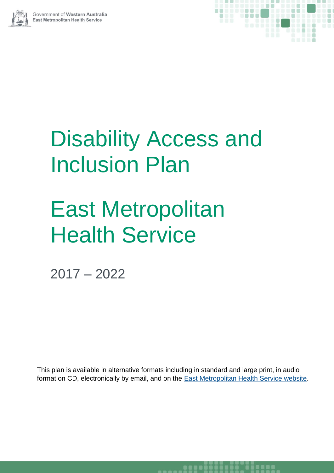



# Disability Access and Inclusion Plan

# East Metropolitan **Health Service**

2017 – 2022

This plan is available in alternative formats including in standard and large print, in audio format on CD, electronically by email, and on the [East Metropolitan Health Service](http://www.eastmetropolitan.health.wa.gov.au/) website.

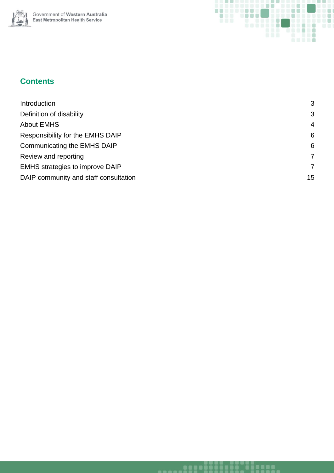



## **Contents**

| Introduction                          | 3              |
|---------------------------------------|----------------|
| Definition of disability              | 3              |
| <b>About EMHS</b>                     | $\overline{4}$ |
| Responsibility for the EMHS DAIP      | 6              |
| Communicating the EMHS DAIP           | 6              |
| Review and reporting                  | 7              |
| EMHS strategies to improve DAIP       | $\overline{7}$ |
| DAIP community and staff consultation | 15             |
|                                       |                |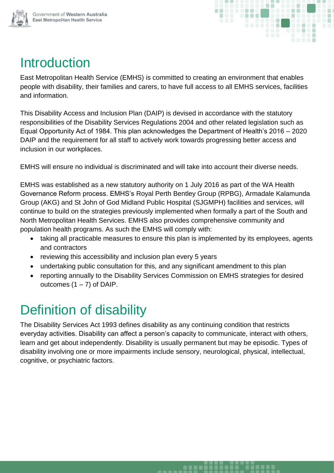



## <span id="page-2-0"></span>Introduction

East Metropolitan Health Service (EMHS) is committed to creating an environment that enables people with disability, their families and carers, to have full access to all EMHS services, facilities and information.

This Disability Access and Inclusion Plan (DAIP) is devised in accordance with the statutory responsibilities of the Disability Services Regulations 2004 and other related legislation such as Equal Opportunity Act of 1984. This plan acknowledges the Department of Health's 2016 – 2020 DAIP and the requirement for all staff to actively work towards progressing better access and inclusion in our workplaces.

EMHS will ensure no individual is discriminated and will take into account their diverse needs.

EMHS was established as a new statutory authority on 1 July 2016 as part of the WA Health Governance Reform process. EMHS's Royal Perth Bentley Group (RPBG), Armadale Kalamunda Group (AKG) and St John of God Midland Public Hospital (SJGMPH) facilities and services, will continue to build on the strategies previously implemented when formally a part of the South and North Metropolitan Health Services. EMHS also provides comprehensive community and population health programs. As such the EMHS will comply with:

- taking all practicable measures to ensure this plan is implemented by its employees, agents and contractors
- reviewing this accessibility and inclusion plan every 5 years
- undertaking public consultation for this, and any significant amendment to this plan
- reporting annually to the Disability Services Commission on EMHS strategies for desired outcomes  $(1 – 7)$  of DAIP.

## <span id="page-2-1"></span>Definition of disability

The Disability Services Act 1993 defines disability as any continuing condition that restricts everyday activities. Disability can affect a person's capacity to communicate, interact with others, learn and get about independently. Disability is usually permanent but may be episodic. Types of disability involving one or more impairments include sensory, neurological, physical, intellectual, cognitive, or psychiatric factors.

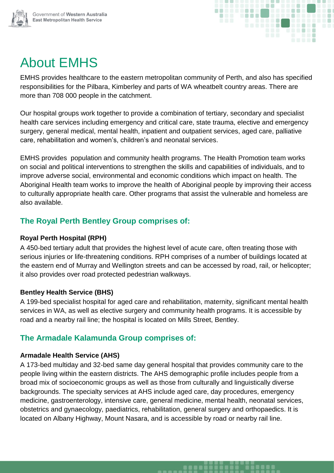



## <span id="page-3-0"></span>About EMHS

EMHS provides healthcare to the eastern metropolitan community of Perth, and also has specified responsibilities for the Pilbara, Kimberley and parts of WA wheatbelt country areas. There are more than 708 000 people in the catchment.

Our hospital groups work together to provide a combination of tertiary, secondary and specialist health care services including emergency and critical care, state trauma, elective and emergency surgery, general medical, mental health, inpatient and outpatient services, aged care, palliative care, rehabilitation and women's, children's and neonatal services.

EMHS provides population and community health programs. The Health Promotion team works on social and political interventions to strengthen the skills and capabilities of individuals, and to improve adverse social, environmental and economic conditions which impact on health. The Aboriginal Health team works to improve the health of Aboriginal people by improving their access to culturally appropriate health care. Other programs that assist the vulnerable and homeless are also available.

## **The Royal Perth Bentley Group comprises of:**

#### **Royal Perth Hospital (RPH)**

A 450-bed tertiary adult that provides the highest level of acute care, often treating those with serious injuries or life-threatening conditions. RPH comprises of a number of buildings located at the eastern end of Murray and Wellington streets and can be accessed by road, rail, or helicopter; it also provides over road protected pedestrian walkways.

#### **Bentley Health Service (BHS)**

A 199-bed specialist hospital for aged care and rehabilitation, maternity, significant mental health services in WA, as well as elective surgery and community health programs. It is accessible by road and a nearby rail line; the hospital is located on Mills Street, Bentley.

## **The Armadale Kalamunda Group comprises of:**

#### **Armadale Health Service (AHS)**

A 173-bed multiday and 32-bed same day general hospital that provides community care to the people living within the eastern districts. The AHS demographic profile includes people from a broad mix of socioeconomic groups as well as those from culturally and linguistically diverse backgrounds. The specialty services at AHS include aged care, day procedures, emergency medicine, gastroenterology, intensive care, general medicine, mental health, neonatal services, obstetrics and gynaecology, paediatrics, rehabilitation, general surgery and orthopaedics. It is located on Albany Highway, Mount Nasara, and is accessible by road or nearby rail line.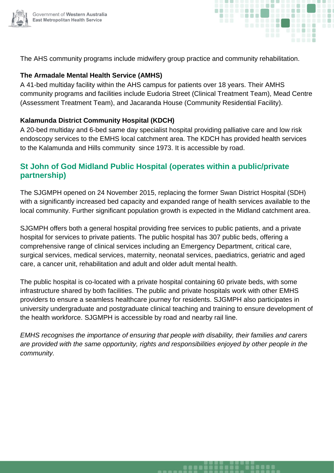



The AHS community programs include midwifery group practice and community rehabilitation.

#### **The Armadale Mental Health Service (AMHS)**

A 41-bed multiday facility within the AHS campus for patients over 18 years. Their AMHS community programs and facilities include Eudoria Street (Clinical Treatment Team), Mead Centre (Assessment Treatment Team), and Jacaranda House (Community Residential Facility).

#### **Kalamunda District Community Hospital (KDCH)**

A 20-bed multiday and 6-bed same day specialist hospital providing palliative care and low risk endoscopy services to the EMHS local catchment area. The KDCH has provided health services to the Kalamunda and Hills community since 1973. It is accessible by road.

## **St John of God Midland Public Hospital (operates within a public/private partnership)**

The SJGMPH opened on 24 November 2015, replacing the former Swan District Hospital (SDH) with a significantly increased bed capacity and expanded range of health services available to the local community. Further significant population growth is expected in the Midland catchment area.

SJGMPH offers both a general hospital providing free services to public patients, and a private hospital for services to private patients. The public hospital has 307 public beds, offering a comprehensive range of clinical services including an Emergency Department, critical care, surgical services, medical services, maternity, neonatal services, paediatrics, geriatric and aged care, a cancer unit, rehabilitation and adult and older adult mental health.

The public hospital is co-located with a private hospital containing 60 private beds, with some infrastructure shared by both facilities. The public and private hospitals work with other EMHS providers to ensure a seamless healthcare journey for residents. SJGMPH also participates in university undergraduate and postgraduate clinical teaching and training to ensure development of the health workforce. SJGMPH is accessible by road and nearby rail line.

*EMHS recognises the importance of ensuring that people with disability, their families and carers are provided with the same opportunity, rights and responsibilities enjoyed by other people in the community.*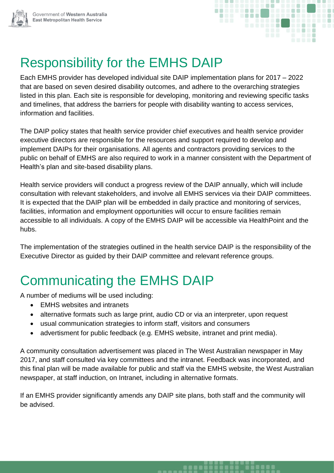



## <span id="page-5-0"></span>Responsibility for the EMHS DAIP

Each EMHS provider has developed individual site DAIP implementation plans for 2017 – 2022 that are based on seven desired disability outcomes, and adhere to the overarching strategies listed in this plan. Each site is responsible for developing, monitoring and reviewing specific tasks and timelines, that address the barriers for people with disability wanting to access services, information and facilities.

The DAIP policy states that health service provider chief executives and health service provider executive directors are responsible for the resources and support required to develop and implement DAIPs for their organisations. All agents and contractors providing services to the public on behalf of EMHS are also required to work in a manner consistent with the Department of Health's plan and site-based disability plans.

Health service providers will conduct a progress review of the DAIP annually, which will include consultation with relevant stakeholders, and involve all EMHS services via their DAIP committees. It is expected that the DAIP plan will be embedded in daily practice and monitoring of services, facilities, information and employment opportunities will occur to ensure facilities remain accessible to all individuals. A copy of the EMHS [DAIP](https://healthpoint.hdwa.health.wa.gov.au/policies/Policies/NMAHS/Corporate/NMHS.AW.DisabilityAccessandInclusionPolicy.pdf) will be accessible via HealthPoint and the hubs.

The implementation of the strategies outlined in the health service DAIP is the responsibility of the Executive Director as guided by their DAIP committee and relevant reference groups.

## <span id="page-5-1"></span>Communicating the EMHS DAIP

A number of mediums will be used including:

- EMHS websites and intranets
- alternative formats such as large print, audio CD or via an interpreter, upon request
- usual communication strategies to inform staff, visitors and consumers
- advertisment for public feedback (e.g. EMHS website, intranet and print media).

A community consultation advertisement was placed in The West Australian newspaper in May 2017, and staff consulted via key committees and the intranet. Feedback was incorporated, and this final plan will be made available for public and staff via the EMHS website, the West Australian newspaper, at staff induction, on Intranet, including in alternative formats.

If an EMHS provider significantly amends any DAIP site plans, both staff and the community will be advised.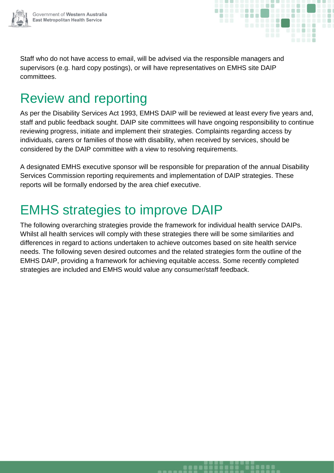



Staff who do not have access to email, will be advised via the responsible managers and supervisors (e.g. hard copy postings), or will have representatives on EMHS site DAIP committees.

## <span id="page-6-0"></span>Review and reporting

As per the Disability Services Act 1993, EMHS DAIP will be reviewed at least every five years and, staff and public feedback sought. DAIP site committees will have ongoing responsibility to continue reviewing progress, initiate and implement their strategies. Complaints regarding access by individuals, carers or families of those with disability, when received by services, should be considered by the DAIP committee with a view to resolving requirements.

A designated EMHS executive sponsor will be responsible for preparation of the annual Disability Services Commission reporting requirements and implementation of DAIP strategies. These reports will be formally endorsed by the area chief executive.

## <span id="page-6-1"></span>EMHS strategies to improve DAIP

The following overarching strategies provide the framework for individual health service DAIPs. Whilst all health services will comply with these strategies there will be some similarities and differences in regard to actions undertaken to achieve outcomes based on site health service needs. The following seven desired outcomes and the related strategies form the outline of the EMHS DAIP, providing a framework for achieving equitable access. Some recently completed strategies are included and EMHS would value any consumer/staff feedback.

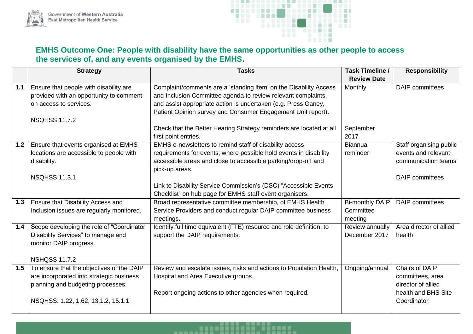



## **EMHS Outcome One: People with disability have the same opportunities as other people to access the services of, and any events organised by the EMHS.**

|       | <b>Strategy</b>                                                                                                                                                      | <b>Tasks</b>                                                                                                                                                                                                                                                         | Task Timeline /<br><b>Review Date</b>          | <b>Responsibility</b>                                                                          |
|-------|----------------------------------------------------------------------------------------------------------------------------------------------------------------------|----------------------------------------------------------------------------------------------------------------------------------------------------------------------------------------------------------------------------------------------------------------------|------------------------------------------------|------------------------------------------------------------------------------------------------|
| 1.1   | Ensure that people with disability are<br>provided with an opportunity to comment<br>on access to services.<br><b>NSQHSS 11.7.2</b>                                  | Complaint/comments are a 'standing item' on the Disability Access<br>and Inclusion Committee agenda to review relevant complaints,<br>and assist appropriate action is undertaken (e.g. Press Ganey,<br>Patient Opinion survey and Consumer Engagement Unit report). | Monthly                                        | <b>DAIP</b> committees                                                                         |
|       |                                                                                                                                                                      | Check that the Better Hearing Strategy reminders are located at all<br>first point entries.                                                                                                                                                                          | September<br>2017                              |                                                                                                |
| $1.2$ | Ensure that events organised at EMHS<br>locations are accessible to people with<br>disability.                                                                       | EMHS e-newsletters to remind staff of disability access<br>requirements for events; where possible hold events in disability<br>accessible areas and close to accessible parking/drop-off and<br>pick-up areas.                                                      | <b>Biannual</b><br>reminder                    | Staff organising public<br>events and relevant<br>communication teams                          |
|       | <b>NSQHSS 11.3.1</b>                                                                                                                                                 | Link to Disability Service Commission's (DSC) "Accessible Events<br>Checklist" on hub page for EMHS staff event organisers.                                                                                                                                          |                                                | <b>DAIP</b> committees                                                                         |
| 1.3   | Ensure that Disability Access and<br>Inclusion issues are regularly monitored.                                                                                       | Broad representative committee membership, of EMHS Health<br>Service Providers and conduct regular DAIP committee business<br>meetings.                                                                                                                              | <b>Bi-monthly DAIP</b><br>Committee<br>meeting | <b>DAIP</b> committees                                                                         |
| 1.4   | Scope developing the role of "Coordinator<br>Disability Services" to manage and<br>monitor DAIP progress.<br><b>NSHQSS 11.7.2</b>                                    | Identify full time equivalent (FTE) resource and role definition, to<br>support the DAIP requirements.                                                                                                                                                               | Review annually<br>December 2017               | Area director of allied<br>health                                                              |
|       | 1.5 To ensure that the objectives of the DAIP<br>are incorporated into strategic business<br>planning and budgeting processes.<br>NSQHSS: 1.22, 1.62, 13.1.2, 15.1.1 | Review and escalate issues, risks and actions to Population Health,<br>Hospital and Area Executive groups.<br>Report ongoing actions to other agencies when required.                                                                                                | Ongoing/annual                                 | Chairs of DAIP<br>committees, area<br>director of allied<br>health and BHS Site<br>Coordinator |

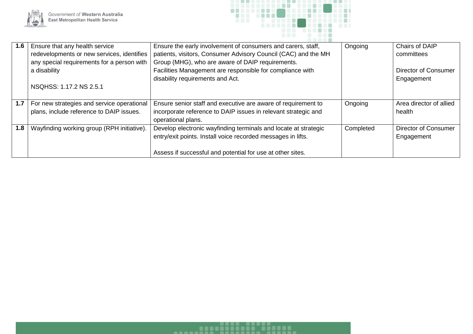



| 1.6 | Ensure that any health service                   | Ensure the early involvement of consumers and carers, staff,    | Ongoing   | Chairs of DAIP              |
|-----|--------------------------------------------------|-----------------------------------------------------------------|-----------|-----------------------------|
|     | redevelopments or new services, identifies       | patients, visitors, Consumer Advisory Council (CAC) and the MH  |           | committees                  |
|     | any special requirements for a person with       | Group (MHG), who are aware of DAIP requirements.                |           |                             |
|     | a disability                                     | Facilities Management are responsible for compliance with       |           | <b>Director of Consumer</b> |
|     |                                                  | disability requirements and Act.                                |           | Engagement                  |
|     | NSQHSS: 1.17.2 NS 2.5.1                          |                                                                 |           |                             |
|     |                                                  |                                                                 |           |                             |
|     | 1.7   For new strategies and service operational | Ensure senior staff and executive are aware of requirement to   | Ongoing   | Area director of allied     |
|     | plans, include reference to DAIP issues.         | incorporate reference to DAIP issues in relevant strategic and  |           | health                      |
|     |                                                  | operational plans.                                              |           |                             |
| 1.8 | Wayfinding working group (RPH initiative).       | Develop electronic wayfinding terminals and locate at strategic | Completed | <b>Director of Consumer</b> |
|     |                                                  | entry/exit points. Install voice recorded messages in lifts.    |           | Engagement                  |
|     |                                                  |                                                                 |           |                             |
|     |                                                  | Assess if successful and potential for use at other sites.      |           |                             |

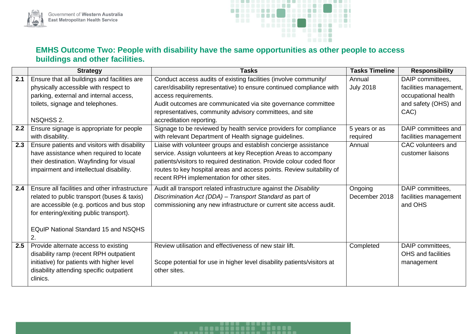



## **EMHS Outcome Two: People with disability have the same opportunities as other people to access buildings and other facilities.**

|     | <b>Strategy</b>                                | <b>Tasks</b>                                                            | <b>Tasks Timeline</b> | <b>Responsibility</b>  |
|-----|------------------------------------------------|-------------------------------------------------------------------------|-----------------------|------------------------|
| 2.1 | Ensure that all buildings and facilities are   | Conduct access audits of existing facilities (involve community/        | Annual                | DAIP committees,       |
|     | physically accessible with respect to          | carer/disability representative) to ensure continued compliance with    | <b>July 2018</b>      | facilities management, |
|     | parking, external and internal access,         | access requirements.                                                    |                       | occupational health    |
|     | toilets, signage and telephones.               | Audit outcomes are communicated via site governance committee           |                       | and safety (OHS) and   |
|     |                                                | representatives, community advisory committees, and site                |                       | CAC)                   |
|     | NSQHSS 2.                                      | accreditation reporting.                                                |                       |                        |
| 2.2 | Ensure signage is appropriate for people       | Signage to be reviewed by health service providers for compliance       | 5 years or as         | DAIP committees and    |
|     | with disability.                               | with relevant Department of Health signage guidelines.                  | required              | facilities management  |
| 2.3 | Ensure patients and visitors with disability   | Liaise with volunteer groups and establish concierge assistance         | Annual                | CAC volunteers and     |
|     | have assistance when required to locate        | service. Assign volunteers at key Reception Areas to accompany          |                       | customer liaisons      |
|     | their destination. Wayfinding for visual       | patients/visitors to required destination. Provide colour coded floor   |                       |                        |
|     | impairment and intellectual disability.        | routes to key hospital areas and access points. Review suitability of   |                       |                        |
|     |                                                | recent RPH implementation for other sites.                              |                       |                        |
| 2.4 | Ensure all facilities and other infrastructure | Audit all transport related infrastructure against the Disability       | Ongoing               | DAIP committees,       |
|     | related to public transport (buses & taxis)    | Discrimination Act (DDA) - Transport Standard as part of                | December 2018         | facilities management  |
|     | are accessible (e.g. porticos and bus stop     | commissioning any new infrastructure or current site access audit.      |                       | and OHS                |
|     | for entering/exiting public transport).        |                                                                         |                       |                        |
|     |                                                |                                                                         |                       |                        |
|     | <b>EQuIP National Standard 15 and NSQHS</b>    |                                                                         |                       |                        |
|     | 2.                                             |                                                                         |                       |                        |
| 2.5 | Provide alternate access to existing           | Review utilisation and effectiveness of new stair lift.                 | Completed             | DAIP committees,       |
|     | disability ramp (recent RPH outpatient         |                                                                         |                       | OHS and facilities     |
|     | initiative) for patients with higher level     | Scope potential for use in higher level disability patients/visitors at |                       | management             |
|     | disability attending specific outpatient       | other sites.                                                            |                       |                        |
|     | clinics.                                       |                                                                         |                       |                        |

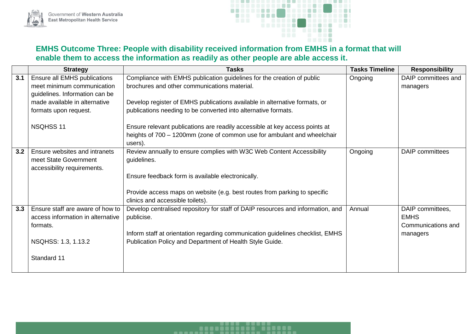



## **EMHS Outcome Three: People with disability received information from EMHS in a format that will enable them to access the information as readily as other people are able access it.**

|     | <b>Strategy</b>                   | <b>Tasks</b>                                                                    | <b>Tasks Timeline</b> | <b>Responsibility</b>  |
|-----|-----------------------------------|---------------------------------------------------------------------------------|-----------------------|------------------------|
| 3.1 | Ensure all EMHS publications      | Compliance with EMHS publication guidelines for the creation of public          | Ongoing               | DAIP committees and    |
|     | meet minimum communication        | brochures and other communications material.                                    |                       | managers               |
|     | guidelines. Information can be    |                                                                                 |                       |                        |
|     | made available in alternative     | Develop register of EMHS publications available in alternative formats, or      |                       |                        |
|     | formats upon request.             | publications needing to be converted into alternative formats.                  |                       |                        |
|     |                                   |                                                                                 |                       |                        |
|     | NSQHSS 11                         | Ensure relevant publications are readily accessible at key access points at     |                       |                        |
|     |                                   | heights of 700 - 1200mm (zone of common use for ambulant and wheelchair         |                       |                        |
|     |                                   | users).                                                                         |                       |                        |
| 3.2 | Ensure websites and intranets     | Review annually to ensure complies with W3C Web Content Accessibility           | Ongoing               | <b>DAIP</b> committees |
|     | meet State Government             | guidelines.                                                                     |                       |                        |
|     | accessibility requirements.       |                                                                                 |                       |                        |
|     |                                   | Ensure feedback form is available electronically.                               |                       |                        |
|     |                                   |                                                                                 |                       |                        |
|     |                                   | Provide access maps on website (e.g. best routes from parking to specific       |                       |                        |
|     |                                   | clinics and accessible toilets).                                                |                       |                        |
| 3.3 | Ensure staff are aware of how to  | Develop centralised repository for staff of DAIP resources and information, and | Annual                | DAIP committees,       |
|     | access information in alternative | publicise.                                                                      |                       | <b>EMHS</b>            |
|     | formats.                          |                                                                                 |                       | Communications and     |
|     |                                   | Inform staff at orientation regarding communication guidelines checklist, EMHS  |                       | managers               |
|     | NSQHSS: 1.3, 1.13.2               | Publication Policy and Department of Health Style Guide.                        |                       |                        |
|     |                                   |                                                                                 |                       |                        |
|     | Standard 11                       |                                                                                 |                       |                        |
|     |                                   |                                                                                 |                       |                        |

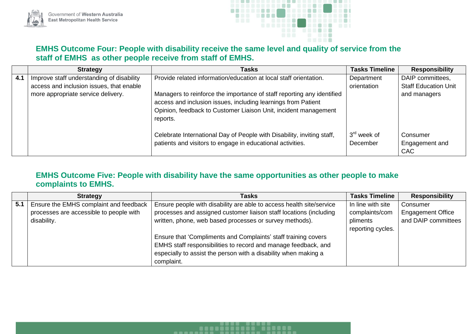



#### **EMHS Outcome Four: People with disability receive the same level and quality of service from the staff of EMHS as other people receive from staff of EMHS.**

|     | <b>Strategy</b>                           | <b>Tasks</b>                                                                                                                                                                                                           | <b>Tasks Timeline</b>     | <b>Responsibility</b>                    |
|-----|-------------------------------------------|------------------------------------------------------------------------------------------------------------------------------------------------------------------------------------------------------------------------|---------------------------|------------------------------------------|
| 4.1 | Improve staff understanding of disability | Provide related information/education at local staff orientation.                                                                                                                                                      | Department                | DAIP committees,                         |
|     | access and inclusion issues, that enable  |                                                                                                                                                                                                                        | orientation               | <b>Staff Education Unit</b>              |
|     | more appropriate service delivery.        | Managers to reinforce the importance of staff reporting any identified<br>access and inclusion issues, including learnings from Patient<br>Opinion, feedback to Customer Liaison Unit, incident management<br>reports. |                           | and managers                             |
|     |                                           | Celebrate International Day of People with Disability, inviting staff,<br>patients and visitors to engage in educational activities.                                                                                   | $3rd$ week of<br>December | Consumer<br>Engagement and<br><b>CAC</b> |

## **EMHS Outcome Five: People with disability have the same opportunities as other people to make complaints to EMHS.**

----------

|     | <b>Strategy</b>                         | <b>Tasks</b>                                                         | <b>Tasks Timeline</b> | <b>Responsibility</b>    |
|-----|-----------------------------------------|----------------------------------------------------------------------|-----------------------|--------------------------|
| 5.1 | Ensure the EMHS complaint and feedback  | Ensure people with disability are able to access health site/service | In line with site     | Consumer                 |
|     | processes are accessible to people with | processes and assigned customer liaison staff locations (including   | complaints/com        | <b>Engagement Office</b> |
|     | disability.                             | written, phone, web based processes or survey methods).              | pliments              | and DAIP committees      |
|     |                                         |                                                                      | reporting cycles.     |                          |
|     |                                         | Ensure that 'Compliments and Complaints' staff training covers       |                       |                          |
|     |                                         | EMHS staff responsibilities to record and manage feedback, and       |                       |                          |
|     |                                         | especially to assist the person with a disability when making a      |                       |                          |
|     |                                         | complaint.                                                           |                       |                          |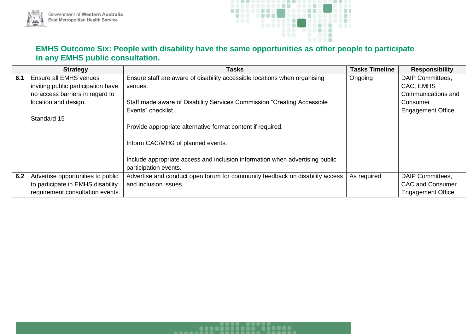



## **EMHS Outcome Six: People with disability have the same opportunities as other people to participate in any EMHS public consultation.**

|     | <b>Strategy</b>                    | <b>Tasks</b>                                                                 | <b>Tasks Timeline</b> | <b>Responsibility</b>    |
|-----|------------------------------------|------------------------------------------------------------------------------|-----------------------|--------------------------|
| 6.1 | Ensure all EMHS venues             | Ensure staff are aware of disability accessible locations when organising    | Ongoing               | <b>DAIP Committees,</b>  |
|     | inviting public participation have | venues.                                                                      |                       | CAC, EMHS                |
|     | no access barriers in regard to    |                                                                              |                       | Communications and       |
|     | location and design.               | Staff made aware of Disability Services Commission "Creating Accessible      |                       | Consumer                 |
|     |                                    | Events" checklist.                                                           |                       | <b>Engagement Office</b> |
|     | Standard 15                        |                                                                              |                       |                          |
|     |                                    | Provide appropriate alternative format content if required.                  |                       |                          |
|     |                                    |                                                                              |                       |                          |
|     |                                    | Inform CAC/MHG of planned events.                                            |                       |                          |
|     |                                    |                                                                              |                       |                          |
|     |                                    | Include appropriate access and inclusion information when advertising public |                       |                          |
|     |                                    | participation events.                                                        |                       |                          |
| 6.2 | Advertise opportunities to public  | Advertise and conduct open forum for community feedback on disability access | As required           | DAIP Committees,         |
|     | to participate in EMHS disability  | and inclusion issues.                                                        |                       | <b>CAC and Consumer</b>  |
|     | requirement consultation events.   |                                                                              |                       | <b>Engagement Office</b> |

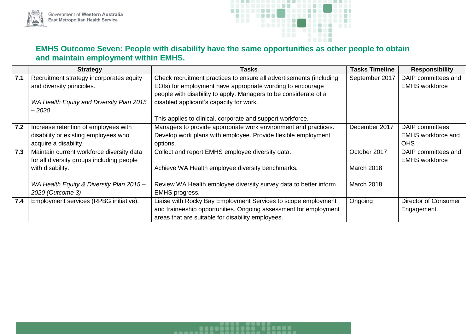



## **EMHS Outcome Seven: People with disability have the same opportunities as other people to obtain and maintain employment within EMHS.**

|     | <b>Strategy</b>                           | <b>Tasks</b>                                                        | <b>Tasks Timeline</b> | <b>Responsibility</b>       |
|-----|-------------------------------------------|---------------------------------------------------------------------|-----------------------|-----------------------------|
| 7.1 | Recruitment strategy incorporates equity  | Check recruitment practices to ensure all advertisements (including | September 2017        | DAIP committees and         |
|     | and diversity principles.                 | EOIs) for employment have appropriate wording to encourage          |                       | <b>EMHS</b> workforce       |
|     |                                           | people with disability to apply. Managers to be considerate of a    |                       |                             |
|     | WA Health Equity and Diversity Plan 2015  | disabled applicant's capacity for work.                             |                       |                             |
|     | $-2020$                                   |                                                                     |                       |                             |
|     |                                           | This applies to clinical, corporate and support workforce.          |                       |                             |
| 7.2 | Increase retention of employees with      | Managers to provide appropriate work environment and practices.     | December 2017         | DAIP committees,            |
|     | disability or existing employees who      | Develop work plans with employee. Provide flexible employment       |                       | <b>EMHS</b> workforce and   |
|     | acquire a disability.                     | options.                                                            |                       | <b>OHS</b>                  |
| 7.3 | Maintain current workforce diversity data | Collect and report EMHS employee diversity data.                    | October 2017          | DAIP committees and         |
|     | for all diversity groups including people |                                                                     |                       | <b>EMHS</b> workforce       |
|     | with disability.                          | Achieve WA Health employee diversity benchmarks.                    | <b>March 2018</b>     |                             |
|     |                                           |                                                                     |                       |                             |
|     | WA Health Equity & Diversity Plan 2015 -  | Review WA Health employee diversity survey data to better inform    | March 2018            |                             |
|     | 2020 (Outcome 3)                          | <b>EMHS</b> progress.                                               |                       |                             |
| 7.4 | Employment services (RPBG initiative).    | Liaise with Rocky Bay Employment Services to scope employment       | Ongoing               | <b>Director of Consumer</b> |
|     |                                           | and traineeship opportunities. Ongoing assessment for employment    |                       | Engagement                  |
|     |                                           | areas that are suitable for disability employees.                   |                       |                             |

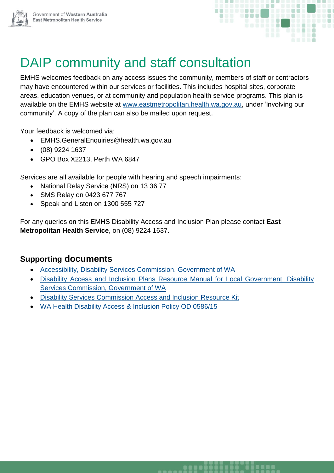



## DAIP community and staff consultation

EMHS welcomes feedback on any access issues the community, members of staff or contractors may have encountered within our services or facilities. This includes hospital sites, corporate areas, education venues, or at community and population health service programs. This plan is available on the EMHS website at [www.eastmetropolitan.health.wa.gov.au,](http://www.eastmetropolitan.health.wa.gov.au/) under 'Involving our community'. A copy of the plan can also be mailed upon request.

Your feedback is welcomed via:

- EMHS.GeneralEnquiries@health.wa.gov.au
- (08) 9224 1637
- GPO Box X2213, Perth WA 6847

Services are all available for people with hearing and speech impairments:

- National Relay Service (NRS) on 13 36 77
- SMS Relay on 0423 677 767
- Speak and Listen on 1300 555 727

For any queries on this EMHS Disability Access and Inclusion Plan please contact **East Metropolitan Health Service**, on (08) 9224 1637.

## **Supporting documents**

- [Accessibility, Disability Services Commission, Government of WA](http://www.disability.wa.gov.au/understanding-disability1/understanding-disability/accessibility/)
- [Disability Access and Inclusion Plans Resource Manual for Local Government, Disability](http://www.disability.wa.gov.au/business-and-government1/business-and-government/disability-access-and-inclusion-plans/steps-for-developing-a-daip/)  [Services Commission, Government of WA](http://www.disability.wa.gov.au/business-and-government1/business-and-government/disability-access-and-inclusion-plans/steps-for-developing-a-daip/)
- [Disability Services Commission Access and Inclusion Resource Kit](http://www.disability.wa.gov.au/business-and-government1/business-and-government/disability-access-and-inclusion-plans/implementing-your-daip/access-and-inclusion-resource-kit/)
- [WA Health Disability Access & Inclusion Policy OD 0586/15](http://www.health.wa.gov.au/circularsnew/circular.cfm?Circ_ID=13191)